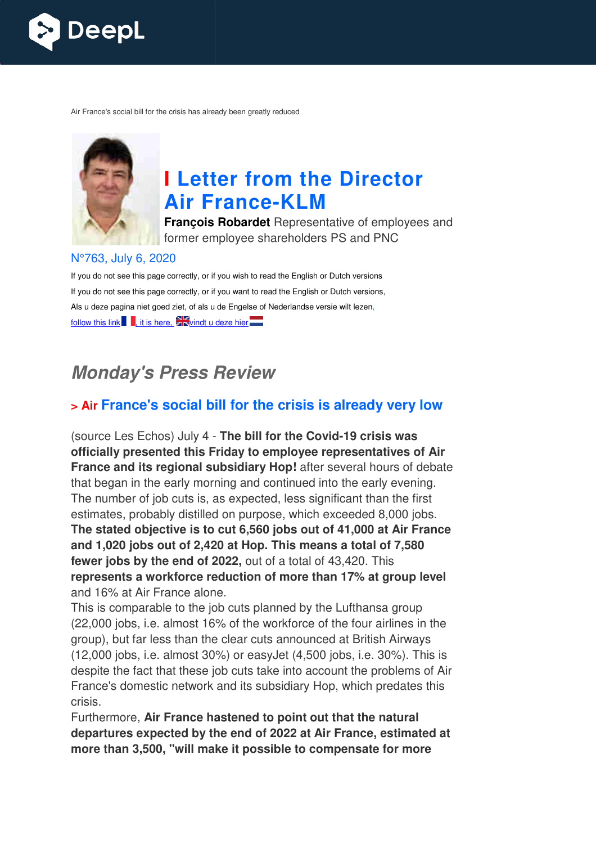

Air France's social bill for the crisis has already been greatly reduced



# **I Letter from the Director Air France France-KLM**

**François Robardet** Representative of employees and former employee shareholders PS and PNC

#### N°763, July 6, 2020

If you do not see this page correctly, or if you wish to read the English or Dutch versions If you do not see this page correctly, or if you want to read the English or Dutch versions, Als u deze pagina niet goed ziet, of als u de Engelse of Nederlandse versie wilt lezen, follow this link  $\blacksquare$ , it is here,  $\blacktriangleright$  vindt u deze hier

## **Monday's Press Review**

## **> Air France's social bill for the crisis is already very low**

(source Les Echos) July 4 - **The bill for the Covid-19 crisis was officially presented this Friday to employee representatives of Air**  France and its regional subsidiary Hop! after several hours of debate that began in the early morning and continued into the early evening. The number of job cuts is, as expected, less significant than the first estimates, probably distilled on purpose, which exceeded 8,000 jobs. **The stated objective is to cut 6,560 jobs out of 41,000 at Air France and 1,020 jobs out of 2,420 at Hop. This means a total of 7,580**  fewer jobs by the end of 2022, out of a total of 43,420. This represents a workforce reduction of more than 17% at group level and 16% at Air France alone.

This is comparable to the job cuts planned by the Lufthansa group (22,000 jobs, i.e. almost 16% of the workforce of the four airlines in the group), but far less than the clear cuts announced at British Airways (12,000 jobs, i.e. almost 30%) or easyJet (4,500 jobs, i.e. 30%). This is despite the fact that these job cuts take into account the problems of Air France's domestic network and its subsidiary Hop, which predates this crisis.

Furthermore, **Air France hastened to point out that the natural departures expected by the end of 2022 at Air France, estimated at more than 3,500, "will make it possible to compensate for more**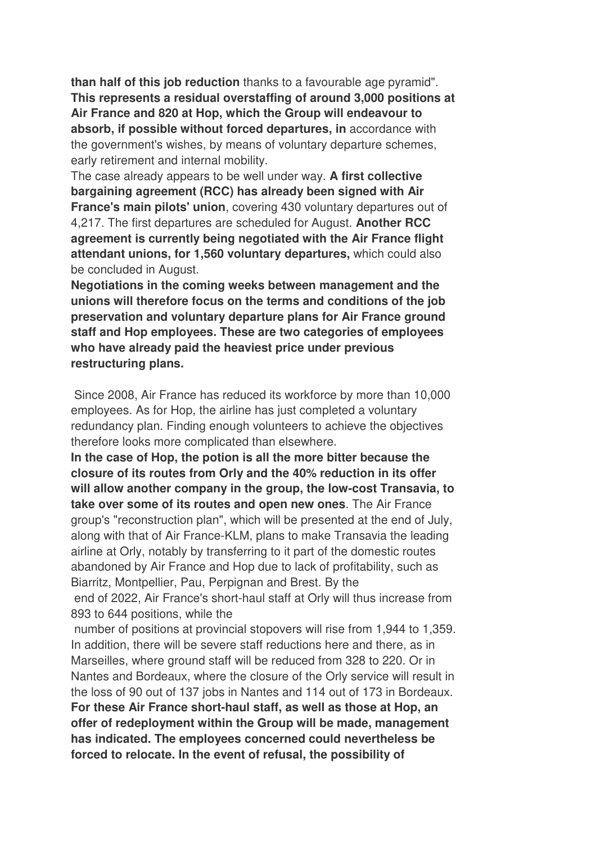**than half of this job reduction** thanks to a favourable age pyramid". **This represents a residual overstaffing of around 3,000 positions at Air France and 820 at Hop, which the Group will endeavour to absorb, if possible without forced departures, in** accordance with the government's wishes, by means of voluntary departure schemes, early retirement and internal mobility.

The case already appears to be well under way. **A first collective bargaining agreement (RCC) has already been signed with Air France's main pilots' union**, covering 430 voluntary departures out of 4,217. The first departures are scheduled for August. **Another RCC agreement is currently being negotiated with the Air France flight attendant unions, for 1,560 voluntary departures,** which could also be concluded in August.

**Negotiations in the coming weeks between management and the unions will therefore focus on the terms and conditions of the job preservation and voluntary departure plans for Air France ground staff and Hop employees. These are two categories of employees who have already paid the heaviest price under previous restructuring plans.** 

 Since 2008, Air France has reduced its workforce by more than 10,000 employees. As for Hop, the airline has just completed a voluntary redundancy plan. Finding enough volunteers to achieve the objectives therefore looks more complicated than elsewhere.

**In the case of Hop, the potion is all the more bitter because the closure of its routes from Orly and the 40% reduction in its offer will allow another company in the group, the low-cost Transavia, to take over some of its routes and open new ones**. The Air France group's "reconstruction plan", which will be presented at the end of July, along with that of Air France-KLM, plans to make Transavia the leading airline at Orly, notably by transferring to it part of the domestic routes abandoned by Air France and Hop due to lack of profitability, such as Biarritz, Montpellier, Pau, Perpignan and Brest. By the end of 2022, Air France's short-haul staff at Orly will thus increase from 893 to 644 positions, while the

 number of positions at provincial stopovers will rise from 1,944 to 1,359. In addition, there will be severe staff reductions here and there, as in Marseilles, where ground staff will be reduced from 328 to 220. Or in Nantes and Bordeaux, where the closure of the Orly service will result in the loss of 90 out of 137 jobs in Nantes and 114 out of 173 in Bordeaux. **For these Air France short-haul staff, as well as those at Hop, an offer of redeployment within the Group will be made, management has indicated. The employees concerned could nevertheless be forced to relocate. In the event of refusal, the possibility of**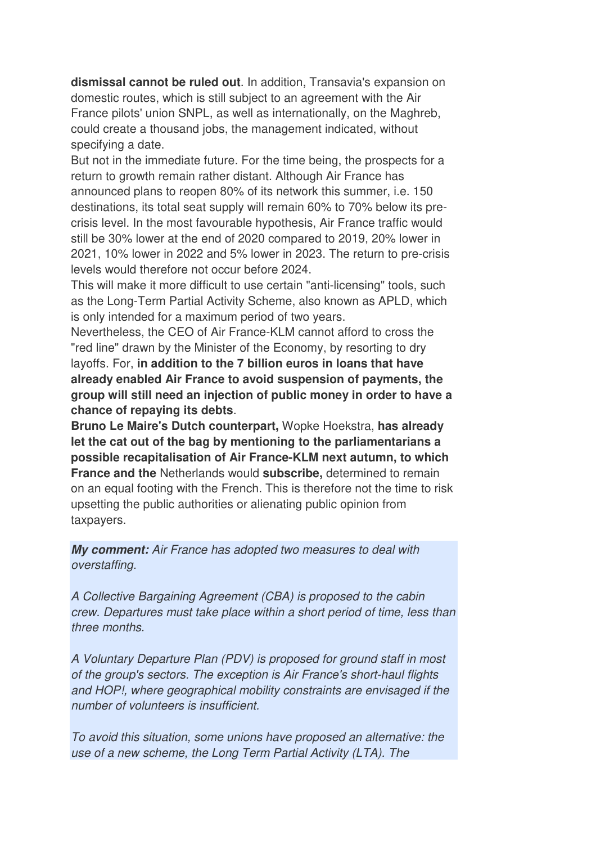**dismissal cannot be ruled out**. In addition, Transavia's expansion on domestic routes, which is still subject to an agreement with the Air France pilots' union SNPL, as well as internationally, on the Maghreb, could create a thousand jobs, the management indicated, without specifying a date.

But not in the immediate future. For the time being, the prospects for a return to growth remain rather distant. Although Air France has announced plans to reopen 80% of its network this summer, i.e. 150 destinations, its total seat supply will remain 60% to 70% below its precrisis level. In the most favourable hypothesis, Air France traffic would still be 30% lower at the end of 2020 compared to 2019, 20% lower in 2021, 10% lower in 2022 and 5% lower in 2023. The return to pre-crisis levels would therefore not occur before 2024.

This will make it more difficult to use certain "anti-licensing" tools, such as the Long-Term Partial Activity Scheme, also known as APLD, which is only intended for a maximum period of two years.

Nevertheless, the CEO of Air France-KLM cannot afford to cross the "red line" drawn by the Minister of the Economy, by resorting to dry layoffs. For, **in addition to the 7 billion euros in loans that have already enabled Air France to avoid suspension of payments, the group will still need an injection of public money in order to have a chance of repaying its debts**.

**Bruno Le Maire's Dutch counterpart,** Wopke Hoekstra, **has already let the cat out of the bag by mentioning to the parliamentarians a possible recapitalisation of Air France-KLM next autumn, to which France and the** Netherlands would **subscribe,** determined to remain on an equal footing with the French. This is therefore not the time to risk upsetting the public authorities or alienating public opinion from taxpayers.

**My comment:** Air France has adopted two measures to deal with overstaffing.

A Collective Bargaining Agreement (CBA) is proposed to the cabin crew. Departures must take place within a short period of time, less than three months.

A Voluntary Departure Plan (PDV) is proposed for ground staff in most of the group's sectors. The exception is Air France's short-haul flights and HOP!, where geographical mobility constraints are envisaged if the number of volunteers is insufficient.

To avoid this situation, some unions have proposed an alternative: the use of a new scheme, the Long Term Partial Activity (LTA). The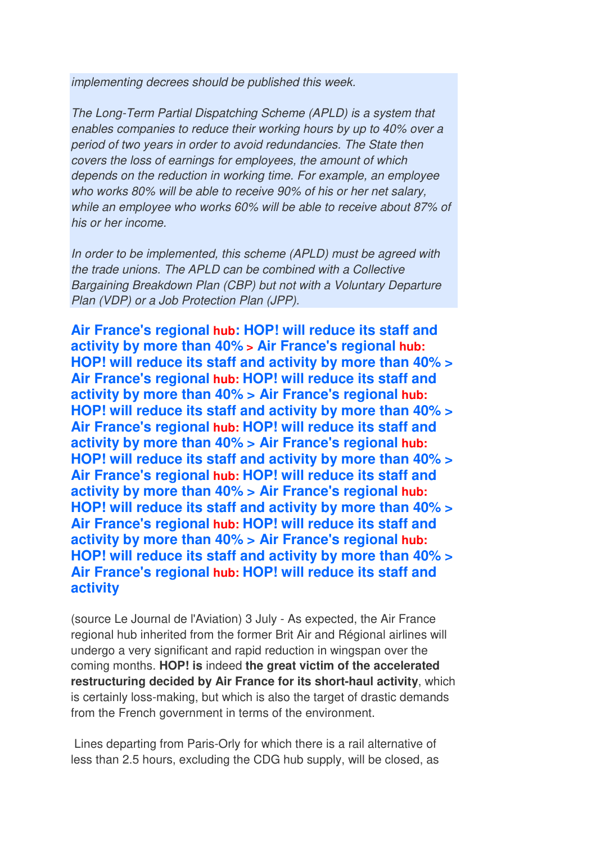implementing decrees should be published this week.

The Long-Term Partial Dispatching Scheme (APLD) is a system that enables companies to reduce their working hours by up to 40% over a period of two years in order to avoid redundancies. The State then covers the loss of earnings for employees, the amount of which depends on the reduction in working time. For example, an employee who works 80% will be able to receive 90% of his or her net salary, while an employee who works 60% will be able to receive about 87% of his or her income.

In order to be implemented, this scheme (APLD) must be agreed with the trade unions. The APLD can be combined with a Collective Bargaining Breakdown Plan (CBP) but not with a Voluntary Departure Plan (VDP) or a Job Protection Plan (JPP).

**Air France's regional hub: HOP! will reduce its staff and activity by more than 40% > Air France's regional hub: HOP! will reduce its staff and activity by more than 40% > Air France's regional hub: HOP! will reduce its staff and activity by more than 40% > Air France's regional hub: HOP! will reduce its staff and activity by more than 40% > Air France's regional hub: HOP! will reduce its staff and activity by more than 40% > Air France's regional hub: HOP! will reduce its staff and activity by more than 40% > Air France's regional hub: HOP! will reduce its staff and activity by more than 40% > Air France's regional hub: HOP! will reduce its staff and activity by more than 40% > Air France's regional hub: HOP! will reduce its staff and activity by more than 40% > Air France's regional hub: HOP! will reduce its staff and activity by more than 40% > Air France's regional hub: HOP! will reduce its staff and activity**

(source Le Journal de l'Aviation) 3 July - As expected, the Air France regional hub inherited from the former Brit Air and Régional airlines will undergo a very significant and rapid reduction in wingspan over the coming months. **HOP! is** indeed **the great victim of the accelerated restructuring decided by Air France for its short-haul activity**, which is certainly loss-making, but which is also the target of drastic demands from the French government in terms of the environment.

 Lines departing from Paris-Orly for which there is a rail alternative of less than 2.5 hours, excluding the CDG hub supply, will be closed, as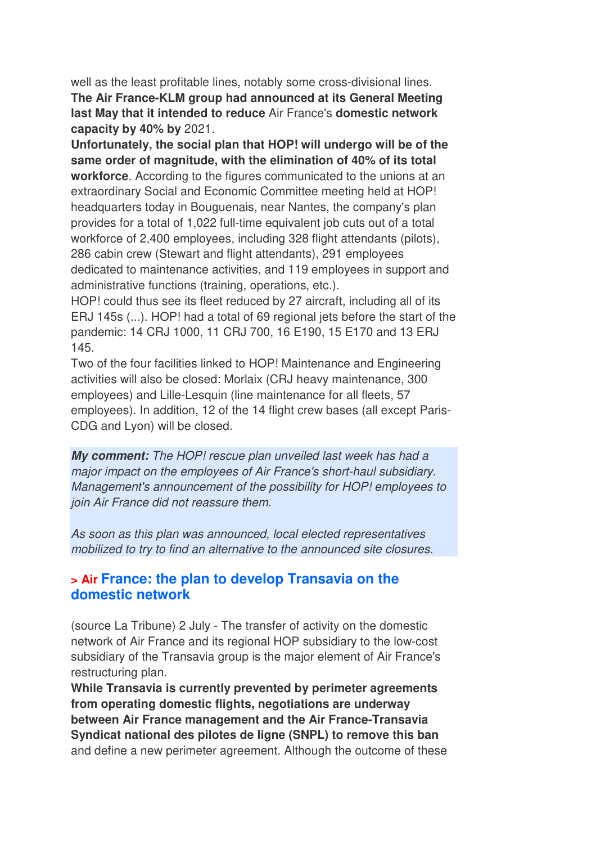well as the least profitable lines, notably some cross-divisional lines. **The Air France-KLM group had announced at its General Meeting last May that it intended to reduce** Air France's **domestic network capacity by 40% by** 2021.

**Unfortunately, the social plan that HOP! will undergo will be of the same order of magnitude, with the elimination of 40% of its total workforce**. According to the figures communicated to the unions at an extraordinary Social and Economic Committee meeting held at HOP! headquarters today in Bouguenais, near Nantes, the company's plan provides for a total of 1,022 full-time equivalent job cuts out of a total workforce of 2,400 employees, including 328 flight attendants (pilots), 286 cabin crew (Stewart and flight attendants), 291 employees dedicated to maintenance activities, and 119 employees in support and administrative functions (training, operations, etc.).

HOP! could thus see its fleet reduced by 27 aircraft, including all of its ERJ 145s (...). HOP! had a total of 69 regional jets before the start of the pandemic: 14 CRJ 1000, 11 CRJ 700, 16 E190, 15 E170 and 13 ERJ 145.

Two of the four facilities linked to HOP! Maintenance and Engineering activities will also be closed: Morlaix (CRJ heavy maintenance, 300 employees) and Lille-Lesquin (line maintenance for all fleets, 57 employees). In addition, 12 of the 14 flight crew bases (all except Paris-CDG and Lyon) will be closed.

**My comment:** The HOP! rescue plan unveiled last week has had a major impact on the employees of Air France's short-haul subsidiary. Management's announcement of the possibility for HOP! employees to join Air France did not reassure them.

As soon as this plan was announced, local elected representatives mobilized to try to find an alternative to the announced site closures.

## **> Air France: the plan to develop Transavia on the domestic network**

(source La Tribune) 2 July - The transfer of activity on the domestic network of Air France and its regional HOP subsidiary to the low-cost subsidiary of the Transavia group is the major element of Air France's restructuring plan.

**While Transavia is currently prevented by perimeter agreements from operating domestic flights, negotiations are underway between Air France management and the Air France-Transavia Syndicat national des pilotes de ligne (SNPL) to remove this ban** and define a new perimeter agreement. Although the outcome of these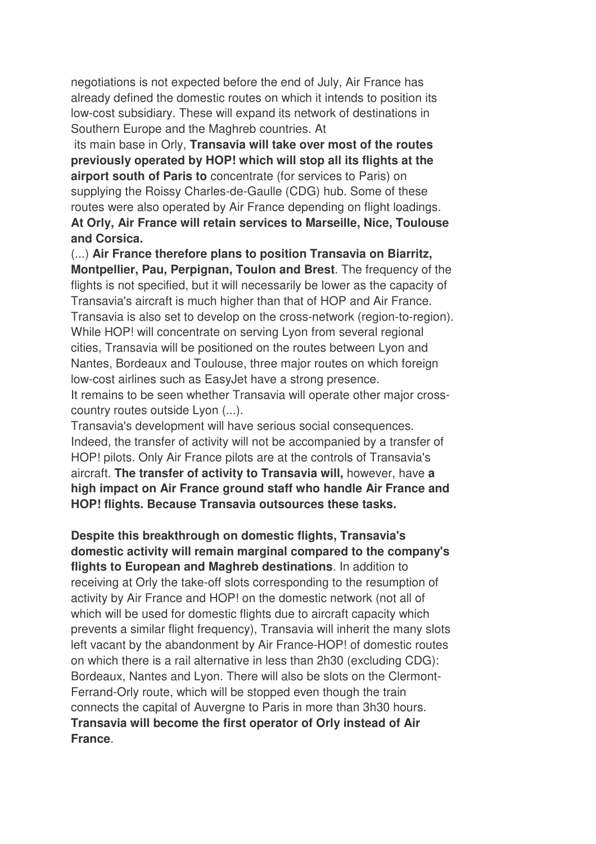negotiations is not expected before the end of July, Air France has already defined the domestic routes on which it intends to position its low-cost subsidiary. These will expand its network of destinations in Southern Europe and the Maghreb countries. At

 its main base in Orly, **Transavia will take over most of the routes previously operated by HOP! which will stop all its flights at the airport south of Paris to** concentrate (for services to Paris) on supplying the Roissy Charles-de-Gaulle (CDG) hub. Some of these routes were also operated by Air France depending on flight loadings. **At Orly, Air France will retain services to Marseille, Nice, Toulouse and Corsica.** 

(...) **Air France therefore plans to position Transavia on Biarritz, Montpellier, Pau, Perpignan, Toulon and Brest**. The frequency of the flights is not specified, but it will necessarily be lower as the capacity of Transavia's aircraft is much higher than that of HOP and Air France. Transavia is also set to develop on the cross-network (region-to-region). While HOP! will concentrate on serving Lyon from several regional cities, Transavia will be positioned on the routes between Lyon and Nantes, Bordeaux and Toulouse, three major routes on which foreign low-cost airlines such as EasyJet have a strong presence. It remains to be seen whether Transavia will operate other major crosscountry routes outside Lyon (...).

Transavia's development will have serious social consequences. Indeed, the transfer of activity will not be accompanied by a transfer of HOP! pilots. Only Air France pilots are at the controls of Transavia's aircraft. **The transfer of activity to Transavia will,** however, have **a high impact on Air France ground staff who handle Air France and HOP! flights. Because Transavia outsources these tasks.** 

**Despite this breakthrough on domestic flights, Transavia's domestic activity will remain marginal compared to the company's flights to European and Maghreb destinations**. In addition to receiving at Orly the take-off slots corresponding to the resumption of activity by Air France and HOP! on the domestic network (not all of which will be used for domestic flights due to aircraft capacity which prevents a similar flight frequency), Transavia will inherit the many slots left vacant by the abandonment by Air France-HOP! of domestic routes on which there is a rail alternative in less than 2h30 (excluding CDG): Bordeaux, Nantes and Lyon. There will also be slots on the Clermont-Ferrand-Orly route, which will be stopped even though the train connects the capital of Auvergne to Paris in more than 3h30 hours. **Transavia will become the first operator of Orly instead of Air France**.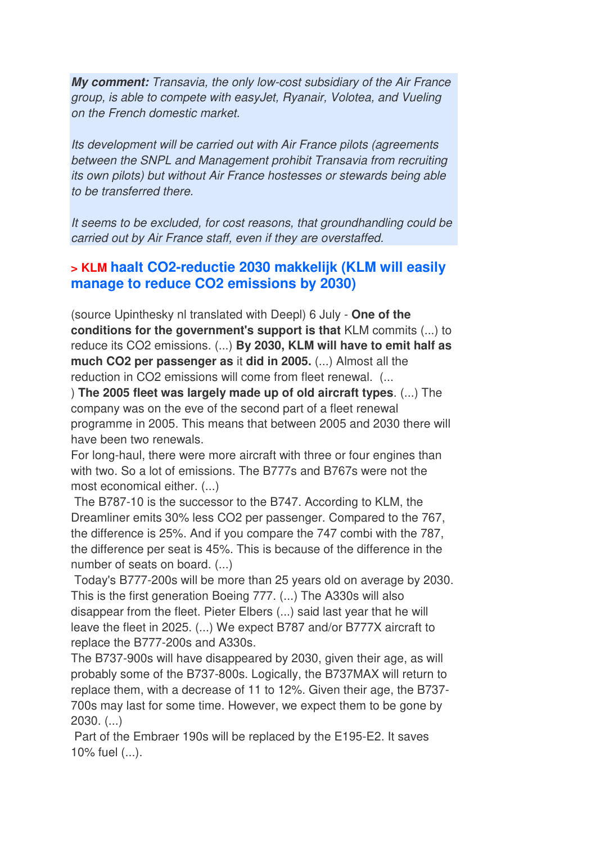**My comment:** Transavia, the only low-cost subsidiary of the Air France group, is able to compete with easyJet, Ryanair, Volotea, and Vueling on the French domestic market.

Its development will be carried out with Air France pilots (agreements between the SNPL and Management prohibit Transavia from recruiting its own pilots) but without Air France hostesses or stewards being able to be transferred there.

It seems to be excluded, for cost reasons, that groundhandling could be carried out by Air France staff, even if they are overstaffed.

## **> KLM haalt CO2-reductie 2030 makkelijk (KLM will easily manage to reduce CO2 emissions by 2030)**

(source Upinthesky nl translated with Deepl) 6 July - **One of the conditions for the government's support is that** KLM commits (...) to reduce its CO2 emissions. (...) **By 2030, KLM will have to emit half as much CO2 per passenger as** it **did in 2005.** (...) Almost all the reduction in CO2 emissions will come from fleet renewal. (...

) **The 2005 fleet was largely made up of old aircraft types**. (...) The company was on the eve of the second part of a fleet renewal programme in 2005. This means that between 2005 and 2030 there will have been two renewals.

For long-haul, there were more aircraft with three or four engines than with two. So a lot of emissions. The B777s and B767s were not the most economical either. (...)

 The B787-10 is the successor to the B747. According to KLM, the Dreamliner emits 30% less CO2 per passenger. Compared to the 767, the difference is 25%. And if you compare the 747 combi with the 787, the difference per seat is 45%. This is because of the difference in the number of seats on board. (...)

 Today's B777-200s will be more than 25 years old on average by 2030. This is the first generation Boeing 777. (...) The A330s will also disappear from the fleet. Pieter Elbers (...) said last year that he will leave the fleet in 2025. (...) We expect B787 and/or B777X aircraft to replace the B777-200s and A330s.

The B737-900s will have disappeared by 2030, given their age, as will probably some of the B737-800s. Logically, the B737MAX will return to replace them, with a decrease of 11 to 12%. Given their age, the B737- 700s may last for some time. However, we expect them to be gone by 2030. (...)

 Part of the Embraer 190s will be replaced by the E195-E2. It saves 10% fuel (...).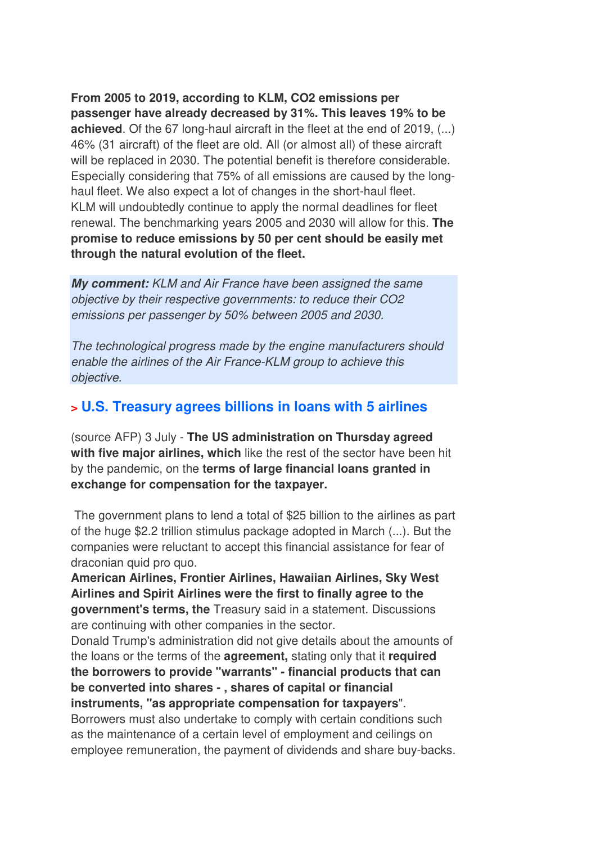**From 2005 to 2019, according to KLM, CO2 emissions per passenger have already decreased by 31%. This leaves 19% to be achieved**. Of the 67 long-haul aircraft in the fleet at the end of 2019, (...) 46% (31 aircraft) of the fleet are old. All (or almost all) of these aircraft will be replaced in 2030. The potential benefit is therefore considerable. Especially considering that 75% of all emissions are caused by the longhaul fleet. We also expect a lot of changes in the short-haul fleet. KLM will undoubtedly continue to apply the normal deadlines for fleet renewal. The benchmarking years 2005 and 2030 will allow for this. **The promise to reduce emissions by 50 per cent should be easily met through the natural evolution of the fleet.**

**My comment:** KLM and Air France have been assigned the same objective by their respective governments: to reduce their CO2 emissions per passenger by 50% between 2005 and 2030.

The technological progress made by the engine manufacturers should enable the airlines of the Air France-KLM group to achieve this objective.

## **> U.S. Treasury agrees billions in loans with 5 airlines**

(source AFP) 3 July - **The US administration on Thursday agreed with five major airlines, which** like the rest of the sector have been hit by the pandemic, on the **terms of large financial loans granted in exchange for compensation for the taxpayer.** 

The government plans to lend a total of \$25 billion to the airlines as part of the huge \$2.2 trillion stimulus package adopted in March (...). But the companies were reluctant to accept this financial assistance for fear of draconian quid pro quo.

**American Airlines, Frontier Airlines, Hawaiian Airlines, Sky West Airlines and Spirit Airlines were the first to finally agree to the government's terms, the** Treasury said in a statement. Discussions are continuing with other companies in the sector.

Donald Trump's administration did not give details about the amounts of the loans or the terms of the **agreement,** stating only that it **required the borrowers to provide "warrants" - financial products that can be converted into shares - , shares of capital or financial instruments, "as appropriate compensation for taxpayers**". Borrowers must also undertake to comply with certain conditions such as the maintenance of a certain level of employment and ceilings on employee remuneration, the payment of dividends and share buy-backs.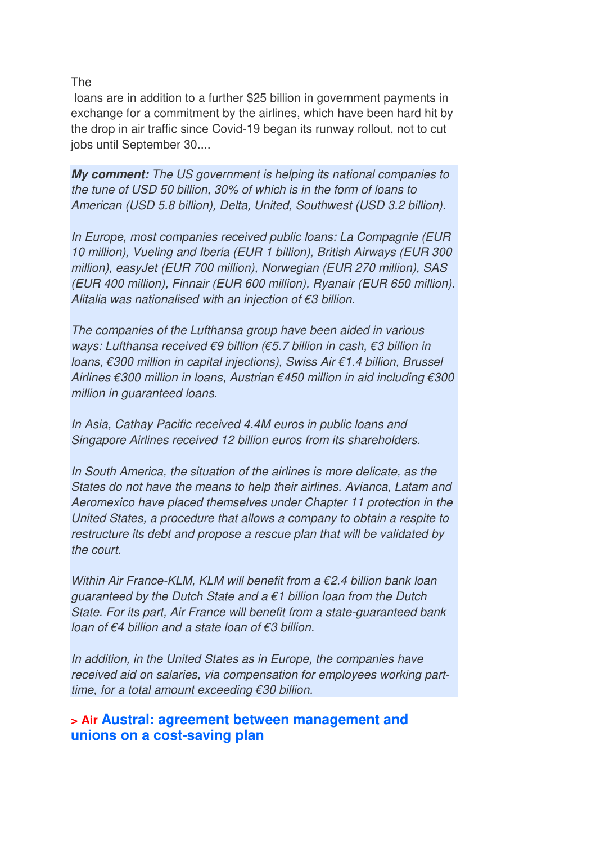The

 loans are in addition to a further \$25 billion in government payments in exchange for a commitment by the airlines, which have been hard hit by the drop in air traffic since Covid-19 began its runway rollout, not to cut jobs until September 30....

**My comment:** The US government is helping its national companies to the tune of USD 50 billion, 30% of which is in the form of loans to American (USD 5.8 billion), Delta, United, Southwest (USD 3.2 billion).

In Europe, most companies received public loans: La Compagnie (EUR 10 million), Vueling and Iberia (EUR 1 billion), British Airways (EUR 300 million), easyJet (EUR 700 million), Norwegian (EUR 270 million), SAS (EUR 400 million), Finnair (EUR 600 million), Ryanair (EUR 650 million). Alitalia was nationalised with an injection of  $\epsilon$ 3 billion.

The companies of the Lufthansa group have been aided in various ways: Lufthansa received €9 billion (€5.7 billion in cash, €3 billion in loans, €300 million in capital injections), Swiss Air €1.4 billion, Brussel Airlines €300 million in loans, Austrian €450 million in aid including €300 million in guaranteed loans.

In Asia, Cathay Pacific received 4.4M euros in public loans and Singapore Airlines received 12 billion euros from its shareholders.

In South America, the situation of the airlines is more delicate, as the States do not have the means to help their airlines. Avianca, Latam and Aeromexico have placed themselves under Chapter 11 protection in the United States, a procedure that allows a company to obtain a respite to restructure its debt and propose a rescue plan that will be validated by the court.

Within Air France-KLM, KLM will benefit from a  $\epsilon$ 2.4 billion bank loan guaranteed by the Dutch State and a  $\epsilon$ 1 billion loan from the Dutch State. For its part, Air France will benefit from a state-guaranteed bank loan of €4 billion and a state loan of €3 billion.

In addition, in the United States as in Europe, the companies have received aid on salaries, via compensation for employees working parttime, for a total amount exceeding €30 billion.

## **> Air Austral: agreement between management and unions on a cost-saving plan**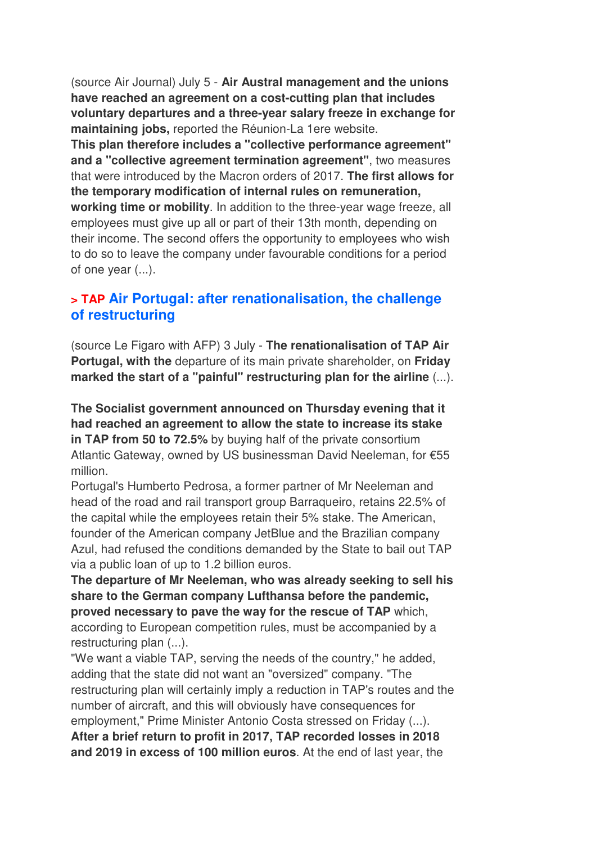(source Air Journal) July 5 - **Air Austral management and the unions have reached an agreement on a cost-cutting plan that includes voluntary departures and a three-year salary freeze in exchange for maintaining jobs,** reported the Réunion-La 1ere website. **This plan therefore includes a "collective performance agreement" and a "collective agreement termination agreement"**, two measures that were introduced by the Macron orders of 2017. **The first allows for the temporary modification of internal rules on remuneration, working time or mobility**. In addition to the three-year wage freeze, all employees must give up all or part of their 13th month, depending on their income. The second offers the opportunity to employees who wish to do so to leave the company under favourable conditions for a period of one year (...).

## **> TAP Air Portugal: after renationalisation, the challenge of restructuring**

(source Le Figaro with AFP) 3 July - **The renationalisation of TAP Air Portugal, with the** departure of its main private shareholder, on **Friday marked the start of a "painful" restructuring plan for the airline** (...).

**The Socialist government announced on Thursday evening that it had reached an agreement to allow the state to increase its stake in TAP from 50 to 72.5%** by buying half of the private consortium Atlantic Gateway, owned by US businessman David Neeleman, for €55 million.

Portugal's Humberto Pedrosa, a former partner of Mr Neeleman and head of the road and rail transport group Barraqueiro, retains 22.5% of the capital while the employees retain their 5% stake. The American, founder of the American company JetBlue and the Brazilian company Azul, had refused the conditions demanded by the State to bail out TAP via a public loan of up to 1.2 billion euros.

**The departure of Mr Neeleman, who was already seeking to sell his share to the German company Lufthansa before the pandemic, proved necessary to pave the way for the rescue of TAP** which, according to European competition rules, must be accompanied by a restructuring plan (...).

"We want a viable TAP, serving the needs of the country," he added, adding that the state did not want an "oversized" company. "The restructuring plan will certainly imply a reduction in TAP's routes and the number of aircraft, and this will obviously have consequences for employment," Prime Minister Antonio Costa stressed on Friday (...). **After a brief return to profit in 2017, TAP recorded losses in 2018 and 2019 in excess of 100 million euros**. At the end of last year, the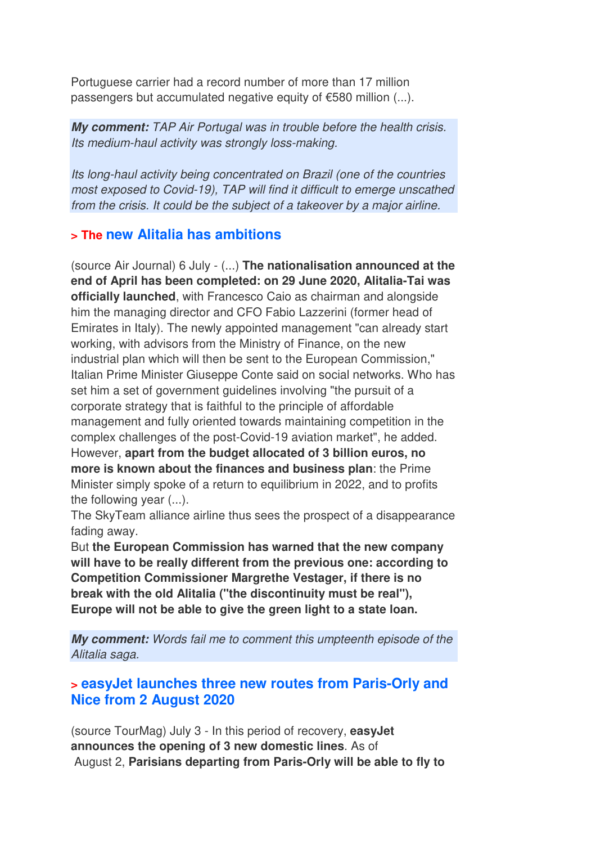Portuguese carrier had a record number of more than 17 million passengers but accumulated negative equity of €580 million (...).

**My comment:** TAP Air Portugal was in trouble before the health crisis. Its medium-haul activity was strongly loss-making.

Its long-haul activity being concentrated on Brazil (one of the countries most exposed to Covid-19), TAP will find it difficult to emerge unscathed from the crisis. It could be the subject of a takeover by a major airline.

## **> The new Alitalia has ambitions**

(source Air Journal) 6 July - (...) **The nationalisation announced at the end of April has been completed: on 29 June 2020, Alitalia-Tai was officially launched**, with Francesco Caio as chairman and alongside him the managing director and CFO Fabio Lazzerini (former head of Emirates in Italy). The newly appointed management "can already start working, with advisors from the Ministry of Finance, on the new industrial plan which will then be sent to the European Commission," Italian Prime Minister Giuseppe Conte said on social networks. Who has set him a set of government guidelines involving "the pursuit of a corporate strategy that is faithful to the principle of affordable management and fully oriented towards maintaining competition in the complex challenges of the post-Covid-19 aviation market", he added. However, **apart from the budget allocated of 3 billion euros, no more is known about the finances and business plan**: the Prime Minister simply spoke of a return to equilibrium in 2022, and to profits the following year (...).

The SkyTeam alliance airline thus sees the prospect of a disappearance fading away.

But **the European Commission has warned that the new company will have to be really different from the previous one: according to Competition Commissioner Margrethe Vestager, if there is no break with the old Alitalia ("the discontinuity must be real"), Europe will not be able to give the green light to a state loan.**

**My comment:** Words fail me to comment this umpteenth episode of the Alitalia saga.

## **> easyJet launches three new routes from Paris-Orly and Nice from 2 August 2020**

(source TourMag) July 3 - In this period of recovery, **easyJet announces the opening of 3 new domestic lines**. As of August 2, **Parisians departing from Paris-Orly will be able to fly to**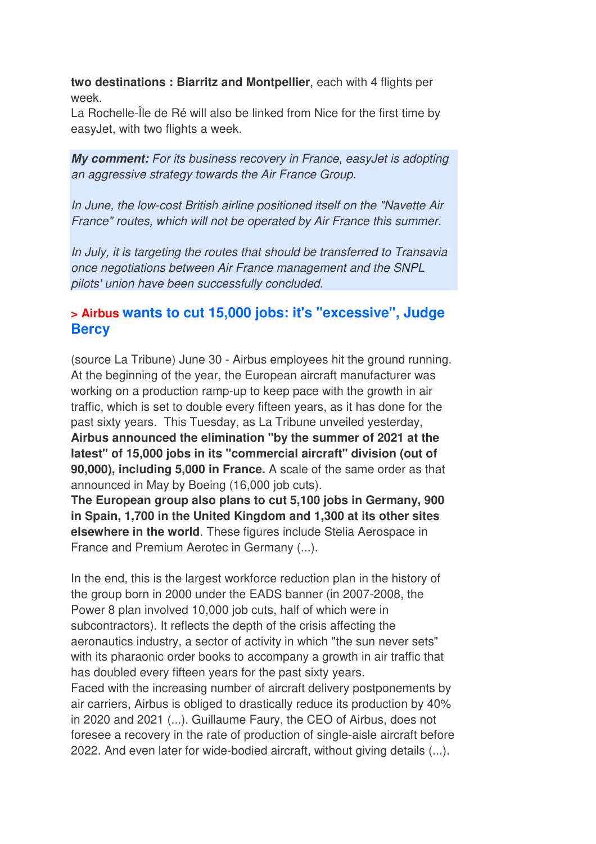**two destinations : Biarritz and Montpellier**, each with 4 flights per week.

La Rochelle-Île de Ré will also be linked from Nice for the first time by easyJet, with two flights a week.

**My comment:** For its business recovery in France, easyJet is adopting an aggressive strategy towards the Air France Group.

In June, the low-cost British airline positioned itself on the "Navette Air France" routes, which will not be operated by Air France this summer.

In July, it is targeting the routes that should be transferred to Transavia once negotiations between Air France management and the SNPL pilots' union have been successfully concluded.

## **> Airbus wants to cut 15,000 jobs: it's "excessive", Judge Bercy**

(source La Tribune) June 30 - Airbus employees hit the ground running. At the beginning of the year, the European aircraft manufacturer was working on a production ramp-up to keep pace with the growth in air traffic, which is set to double every fifteen years, as it has done for the past sixty years. This Tuesday, as La Tribune unveiled yesterday, **Airbus announced the elimination "by the summer of 2021 at the latest" of 15,000 jobs in its "commercial aircraft" division (out of 90,000), including 5,000 in France.** A scale of the same order as that announced in May by Boeing (16,000 job cuts).

**The European group also plans to cut 5,100 jobs in Germany, 900 in Spain, 1,700 in the United Kingdom and 1,300 at its other sites elsewhere in the world**. These figures include Stelia Aerospace in France and Premium Aerotec in Germany (...).

In the end, this is the largest workforce reduction plan in the history of the group born in 2000 under the EADS banner (in 2007-2008, the Power 8 plan involved 10,000 job cuts, half of which were in subcontractors). It reflects the depth of the crisis affecting the aeronautics industry, a sector of activity in which "the sun never sets" with its pharaonic order books to accompany a growth in air traffic that has doubled every fifteen years for the past sixty years. Faced with the increasing number of aircraft delivery postponements by air carriers, Airbus is obliged to drastically reduce its production by 40% in 2020 and 2021 (...). Guillaume Faury, the CEO of Airbus, does not foresee a recovery in the rate of production of single-aisle aircraft before 2022. And even later for wide-bodied aircraft, without giving details (...).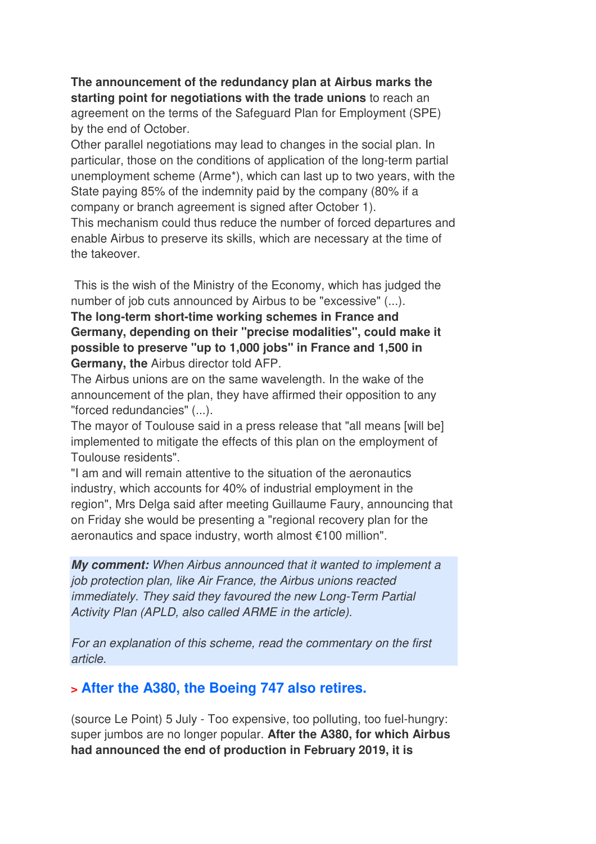**The announcement of the redundancy plan at Airbus marks the starting point for negotiations with the trade unions** to reach an agreement on the terms of the Safeguard Plan for Employment (SPE) by the end of October.

Other parallel negotiations may lead to changes in the social plan. In particular, those on the conditions of application of the long-term partial unemployment scheme (Arme\*), which can last up to two years, with the State paying 85% of the indemnity paid by the company (80% if a company or branch agreement is signed after October 1).

This mechanism could thus reduce the number of forced departures and enable Airbus to preserve its skills, which are necessary at the time of the takeover.

 This is the wish of the Ministry of the Economy, which has judged the number of job cuts announced by Airbus to be "excessive" (...).

**The long-term short-time working schemes in France and Germany, depending on their "precise modalities", could make it possible to preserve "up to 1,000 jobs" in France and 1,500 in Germany, the** Airbus director told AFP.

The Airbus unions are on the same wavelength. In the wake of the announcement of the plan, they have affirmed their opposition to any "forced redundancies" (...).

The mayor of Toulouse said in a press release that "all means [will be] implemented to mitigate the effects of this plan on the employment of Toulouse residents".

"I am and will remain attentive to the situation of the aeronautics industry, which accounts for 40% of industrial employment in the region", Mrs Delga said after meeting Guillaume Faury, announcing that on Friday she would be presenting a "regional recovery plan for the aeronautics and space industry, worth almost €100 million".

**My comment:** When Airbus announced that it wanted to implement a job protection plan, like Air France, the Airbus unions reacted immediately. They said they favoured the new Long-Term Partial Activity Plan (APLD, also called ARME in the article).

For an explanation of this scheme, read the commentary on the first article.

## **> After the A380, the Boeing 747 also retires.**

(source Le Point) 5 July - Too expensive, too polluting, too fuel-hungry: super jumbos are no longer popular. **After the A380, for which Airbus had announced the end of production in February 2019, it is**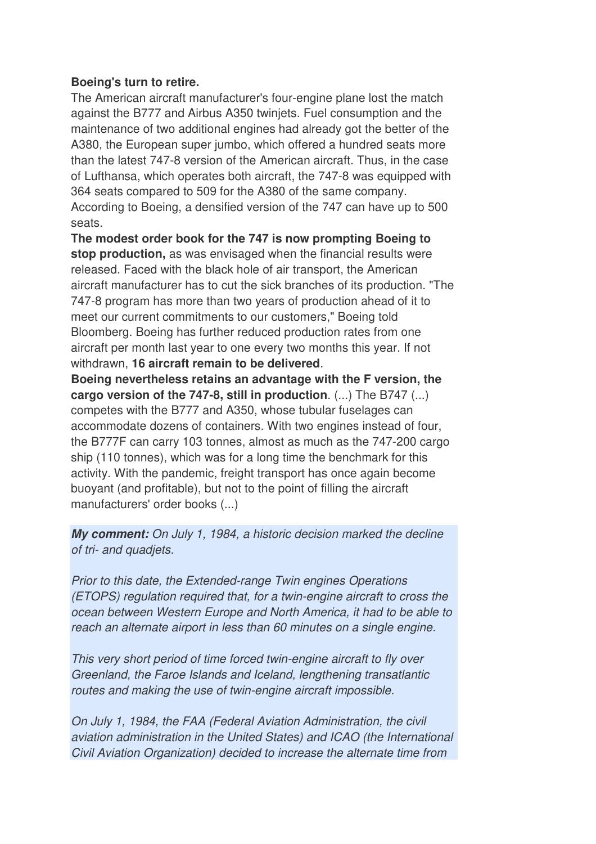#### **Boeing's turn to retire.**

The American aircraft manufacturer's four-engine plane lost the match against the B777 and Airbus A350 twinjets. Fuel consumption and the maintenance of two additional engines had already got the better of the A380, the European super jumbo, which offered a hundred seats more than the latest 747-8 version of the American aircraft. Thus, in the case of Lufthansa, which operates both aircraft, the 747-8 was equipped with 364 seats compared to 509 for the A380 of the same company. According to Boeing, a densified version of the 747 can have up to 500 seats.

**The modest order book for the 747 is now prompting Boeing to stop production,** as was envisaged when the financial results were released. Faced with the black hole of air transport, the American aircraft manufacturer has to cut the sick branches of its production. "The 747-8 program has more than two years of production ahead of it to meet our current commitments to our customers," Boeing told Bloomberg. Boeing has further reduced production rates from one aircraft per month last year to one every two months this year. If not withdrawn, **16 aircraft remain to be delivered**.

**Boeing nevertheless retains an advantage with the F version, the cargo version of the 747-8, still in production**. (...) The B747 (...) competes with the B777 and A350, whose tubular fuselages can accommodate dozens of containers. With two engines instead of four, the B777F can carry 103 tonnes, almost as much as the 747-200 cargo ship (110 tonnes), which was for a long time the benchmark for this activity. With the pandemic, freight transport has once again become buoyant (and profitable), but not to the point of filling the aircraft manufacturers' order books (...)

**My comment:** On July 1, 1984, a historic decision marked the decline of tri- and quadjets.

Prior to this date, the Extended-range Twin engines Operations (ETOPS) regulation required that, for a twin-engine aircraft to cross the ocean between Western Europe and North America, it had to be able to reach an alternate airport in less than 60 minutes on a single engine.

This very short period of time forced twin-engine aircraft to fly over Greenland, the Faroe Islands and Iceland, lengthening transatlantic routes and making the use of twin-engine aircraft impossible.

On July 1, 1984, the FAA (Federal Aviation Administration, the civil aviation administration in the United States) and ICAO (the International Civil Aviation Organization) decided to increase the alternate time from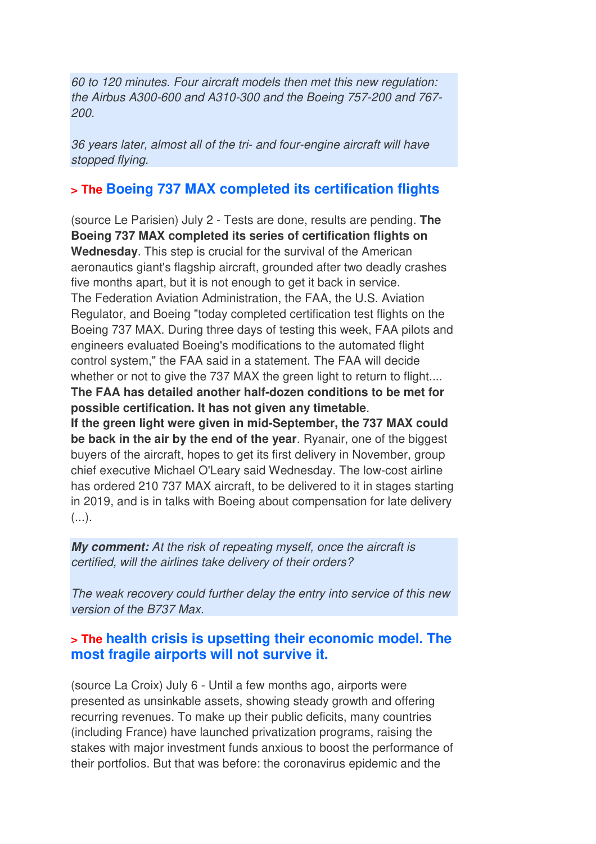60 to 120 minutes. Four aircraft models then met this new regulation: the Airbus A300-600 and A310-300 and the Boeing 757-200 and 767- 200.

36 years later, almost all of the tri- and four-engine aircraft will have stopped flying.

## **> The Boeing 737 MAX completed its certification flights**

(source Le Parisien) July 2 - Tests are done, results are pending. **The Boeing 737 MAX completed its series of certification flights on Wednesday**. This step is crucial for the survival of the American aeronautics giant's flagship aircraft, grounded after two deadly crashes five months apart, but it is not enough to get it back in service. The Federation Aviation Administration, the FAA, the U.S. Aviation Regulator, and Boeing "today completed certification test flights on the Boeing 737 MAX. During three days of testing this week, FAA pilots and engineers evaluated Boeing's modifications to the automated flight control system," the FAA said in a statement. The FAA will decide whether or not to give the 737 MAX the green light to return to flight.... **The FAA has detailed another half-dozen conditions to be met for possible certification. It has not given any timetable**. **If the green light were given in mid-September, the 737 MAX could be back in the air by the end of the year**. Ryanair, one of the biggest buyers of the aircraft, hopes to get its first delivery in November, group chief executive Michael O'Leary said Wednesday. The low-cost airline has ordered 210 737 MAX aircraft, to be delivered to it in stages starting

in 2019, and is in talks with Boeing about compensation for late delivery  $(\ldots).$ 

**My comment:** At the risk of repeating myself, once the aircraft is certified, will the airlines take delivery of their orders?

The weak recovery could further delay the entry into service of this new version of the B737 Max.

## **> The health crisis is upsetting their economic model. The most fragile airports will not survive it.**

(source La Croix) July 6 - Until a few months ago, airports were presented as unsinkable assets, showing steady growth and offering recurring revenues. To make up their public deficits, many countries (including France) have launched privatization programs, raising the stakes with major investment funds anxious to boost the performance of their portfolios. But that was before: the coronavirus epidemic and the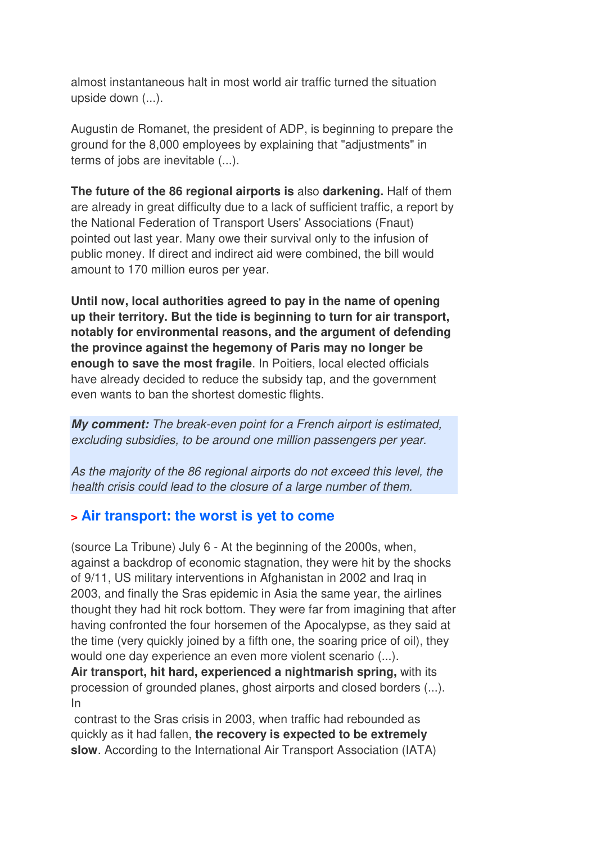almost instantaneous halt in most world air traffic turned the situation upside down (...).

Augustin de Romanet, the president of ADP, is beginning to prepare the ground for the 8,000 employees by explaining that "adjustments" in terms of jobs are inevitable (...).

**The future of the 86 regional airports is** also **darkening.** Half of them are already in great difficulty due to a lack of sufficient traffic, a report by the National Federation of Transport Users' Associations (Fnaut) pointed out last year. Many owe their survival only to the infusion of public money. If direct and indirect aid were combined, the bill would amount to 170 million euros per year.

**Until now, local authorities agreed to pay in the name of opening up their territory. But the tide is beginning to turn for air transport, notably for environmental reasons, and the argument of defending the province against the hegemony of Paris may no longer be enough to save the most fragile**. In Poitiers, local elected officials have already decided to reduce the subsidy tap, and the government even wants to ban the shortest domestic flights.

**My comment:** The break-even point for a French airport is estimated, excluding subsidies, to be around one million passengers per year.

As the majority of the 86 regional airports do not exceed this level, the health crisis could lead to the closure of a large number of them.

## **> Air transport: the worst is yet to come**

(source La Tribune) July 6 - At the beginning of the 2000s, when, against a backdrop of economic stagnation, they were hit by the shocks of 9/11, US military interventions in Afghanistan in 2002 and Iraq in 2003, and finally the Sras epidemic in Asia the same year, the airlines thought they had hit rock bottom. They were far from imagining that after having confronted the four horsemen of the Apocalypse, as they said at the time (very quickly joined by a fifth one, the soaring price of oil), they would one day experience an even more violent scenario (...).

**Air transport, hit hard, experienced a nightmarish spring,** with its procession of grounded planes, ghost airports and closed borders (...). In

 contrast to the Sras crisis in 2003, when traffic had rebounded as quickly as it had fallen, **the recovery is expected to be extremely slow**. According to the International Air Transport Association (IATA)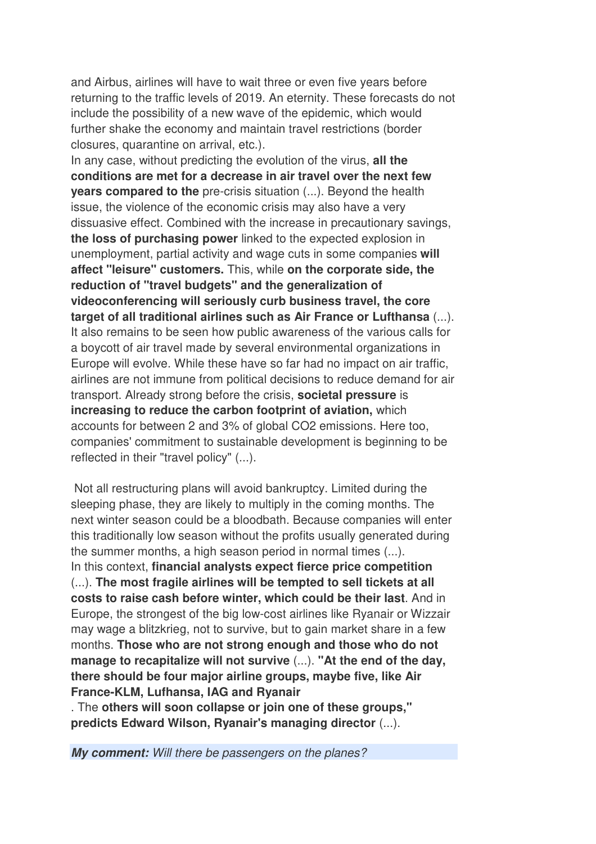and Airbus, airlines will have to wait three or even five years before returning to the traffic levels of 2019. An eternity. These forecasts do not include the possibility of a new wave of the epidemic, which would further shake the economy and maintain travel restrictions (border closures, quarantine on arrival, etc.).

In any case, without predicting the evolution of the virus, **all the conditions are met for a decrease in air travel over the next few years compared to the** pre-crisis situation (...). Beyond the health issue, the violence of the economic crisis may also have a very dissuasive effect. Combined with the increase in precautionary savings, **the loss of purchasing power** linked to the expected explosion in unemployment, partial activity and wage cuts in some companies **will affect "leisure" customers.** This, while **on the corporate side, the reduction of "travel budgets" and the generalization of videoconferencing will seriously curb business travel, the core target of all traditional airlines such as Air France or Lufthansa** (...). It also remains to be seen how public awareness of the various calls for a boycott of air travel made by several environmental organizations in Europe will evolve. While these have so far had no impact on air traffic, airlines are not immune from political decisions to reduce demand for air transport. Already strong before the crisis, **societal pressure** is **increasing to reduce the carbon footprint of aviation,** which accounts for between 2 and 3% of global CO2 emissions. Here too, companies' commitment to sustainable development is beginning to be reflected in their "travel policy" (...).

 Not all restructuring plans will avoid bankruptcy. Limited during the sleeping phase, they are likely to multiply in the coming months. The next winter season could be a bloodbath. Because companies will enter this traditionally low season without the profits usually generated during the summer months, a high season period in normal times (...). In this context, **financial analysts expect fierce price competition** (...). **The most fragile airlines will be tempted to sell tickets at all costs to raise cash before winter, which could be their last**. And in Europe, the strongest of the big low-cost airlines like Ryanair or Wizzair may wage a blitzkrieg, not to survive, but to gain market share in a few months. **Those who are not strong enough and those who do not manage to recapitalize will not survive** (...). **"At the end of the day, there should be four major airline groups, maybe five, like Air France-KLM, Lufhansa, IAG and Ryanair**

. The **others will soon collapse or join one of these groups," predicts Edward Wilson, Ryanair's managing director** (...).

**My comment:** Will there be passengers on the planes?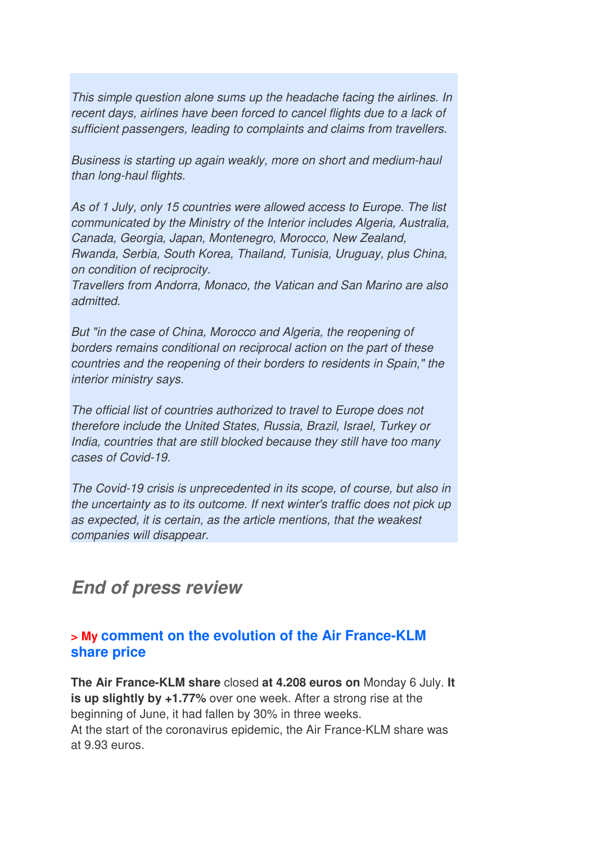This simple question alone sums up the headache facing the airlines. In recent days, airlines have been forced to cancel flights due to a lack of sufficient passengers, leading to complaints and claims from travellers.

Business is starting up again weakly, more on short and medium-haul than long-haul flights.

As of 1 July, only 15 countries were allowed access to Europe. The list communicated by the Ministry of the Interior includes Algeria, Australia, Canada, Georgia, Japan, Montenegro, Morocco, New Zealand, Rwanda, Serbia, South Korea, Thailand, Tunisia, Uruguay, plus China, on condition of reciprocity.

Travellers from Andorra, Monaco, the Vatican and San Marino are also admitted.

But "in the case of China, Morocco and Algeria, the reopening of borders remains conditional on reciprocal action on the part of these countries and the reopening of their borders to residents in Spain," the interior ministry says.

The official list of countries authorized to travel to Europe does not therefore include the United States, Russia, Brazil, Israel, Turkey or India, countries that are still blocked because they still have too many cases of Covid-19.

The Covid-19 crisis is unprecedented in its scope, of course, but also in the uncertainty as to its outcome. If next winter's traffic does not pick up as expected, it is certain, as the article mentions, that the weakest companies will disappear.

## **End of press review**

## **> My comment on the evolution of the Air France-KLM share price**

**The Air France-KLM share** closed **at 4.208 euros on** Monday 6 July. **It is up slightly by +1.77%** over one week. After a strong rise at the beginning of June, it had fallen by 30% in three weeks. At the start of the coronavirus epidemic, the Air France-KLM share was at 9.93 euros.